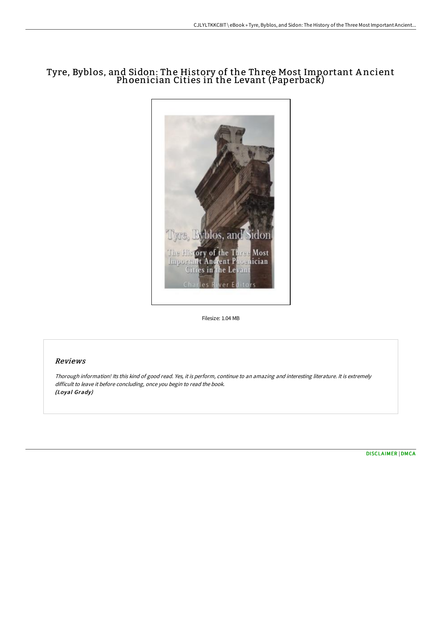# Tyre, Byblos, and Sidon: The History of the Three Most Important A ncient Phoenician Cities in the Levant (Paperback)



Filesize: 1.04 MB

## Reviews

Thorough information! Its this kind of good read. Yes, it is perform, continue to an amazing and interesting literature. It is extremely difficult to leave it before concluding, once you begin to read the book. (Loyal Grady)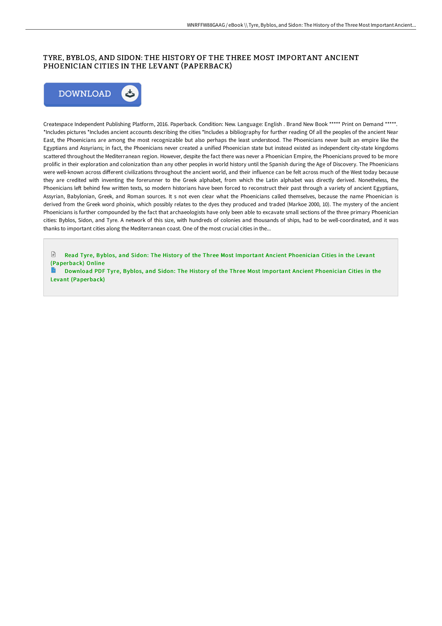### TYRE, BYBLOS, AND SIDON: THE HISTORY OF THE THREE MOST IMPORTANT ANCIENT PHOENICIAN CITIES IN THE LEVANT (PAPERBACK)



Createspace Independent Publishing Platform, 2016. Paperback. Condition: New. Language: English . Brand New Book \*\*\*\*\* Print on Demand \*\*\*\*\*. \*Includes pictures \*Includes ancient accounts describing the cities \*Includes a bibliography for further reading Of all the peoples of the ancient Near East, the Phoenicians are among the most recognizable but also perhaps the least understood. The Phoenicians never built an empire like the Egyptians and Assyrians; in fact, the Phoenicians never created a unified Phoenician state but instead existed as independent city-state kingdoms scattered throughout the Mediterranean region. However, despite the fact there was never a Phoenician Empire, the Phoenicians proved to be more prolific in their exploration and colonization than any other peoples in world history until the Spanish during the Age of Discovery. The Phoenicians were well-known across different civilizations throughout the ancient world, and their influence can be felt across much of the West today because they are credited with inventing the forerunner to the Greek alphabet, from which the Latin alphabet was directly derived. Nonetheless, the Phoenicians left behind few written texts, so modern historians have been forced to reconstruct their past through a variety of ancient Egyptians, Assyrian, Babylonian, Greek, and Roman sources. It s not even clear what the Phoenicians called themselves, because the name Phoenician is derived from the Greek word phoinix, which possibly relates to the dyes they produced and traded (Markoe 2000, 10). The mystery of the ancient Phoenicians is further compounded by the fact that archaeologists have only been able to excavate small sections of the three primary Phoenician cities: Byblos, Sidon, and Tyre. A network of this size, with hundreds of colonies and thousands of ships, had to be well-coordinated, and it was thanks to important cities along the Mediterranean coast. One of the most crucial cities in the...

 $\mathbb{R}$ Read Tyre, Byblos, and Sidon: The History of the Three Most Important Ancient Phoenician Cities in the Levant [\(Paperback\)](http://techno-pub.tech/tyre-byblos-and-sidon-the-history-of-the-three-m.html) Online

Download PDF Tyre, Byblos, and Sidon: The History of the Three Most Important Ancient Phoenician Cities in the Levant [\(Paperback\)](http://techno-pub.tech/tyre-byblos-and-sidon-the-history-of-the-three-m.html)